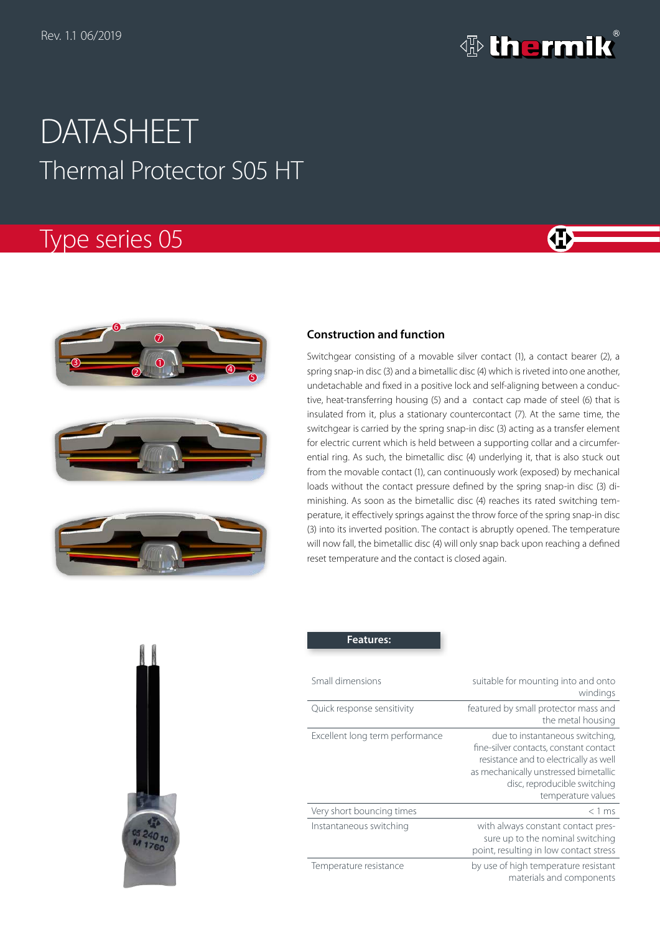

# Thermal Protector S05 HT DATASHEET

# Type series 05









## **Construction and function**

Switchgear consisting of a movable silver contact (1), a contact bearer (2), a spring snap-in disc (3) and a bimetallic disc (4) which is riveted into one another, undetachable and fixed in a positive lock and self-aligning between a conductive, heat-transferring housing (5) and a contact cap made of steel (6) that is insulated from it, plus a stationary countercontact (7). At the same time, the switchgear is carried by the spring snap-in disc (3) acting as a transfer element for electric current which is held between a supporting collar and a circumferential ring. As such, the bimetallic disc (4) underlying it, that is also stuck out from the movable contact (1), can continuously work (exposed) by mechanical loads without the contact pressure defined by the spring snap-in disc (3) diminishing. As soon as the bimetallic disc (4) reaches its rated switching temperature, it effectively springs against the throw force of the spring snap-in disc (3) into its inverted position. The contact is abruptly opened. The temperature will now fall, the bimetallic disc (4) will only snap back upon reaching a defined reset temperature and the contact is closed again.



| <b>Features:</b>                |                                                                                                                                                                                                                    |
|---------------------------------|--------------------------------------------------------------------------------------------------------------------------------------------------------------------------------------------------------------------|
| Small dimensions                | suitable for mounting into and onto<br>windings                                                                                                                                                                    |
| Quick response sensitivity      | featured by small protector mass and<br>the metal housing                                                                                                                                                          |
| Excellent long term performance | due to instantaneous switching,<br>fine-silver contacts, constant contact<br>resistance and to electrically as well<br>as mechanically unstressed bimetallic<br>disc, reproducible switching<br>temperature values |
| Very short bouncing times       | $<$ 1 ms                                                                                                                                                                                                           |
| Instantaneous switching         | with always constant contact pres-<br>sure up to the nominal switching<br>point, resulting in low contact stress                                                                                                   |
| Temperature resistance          | by use of high temperature resistant<br>materials and components                                                                                                                                                   |